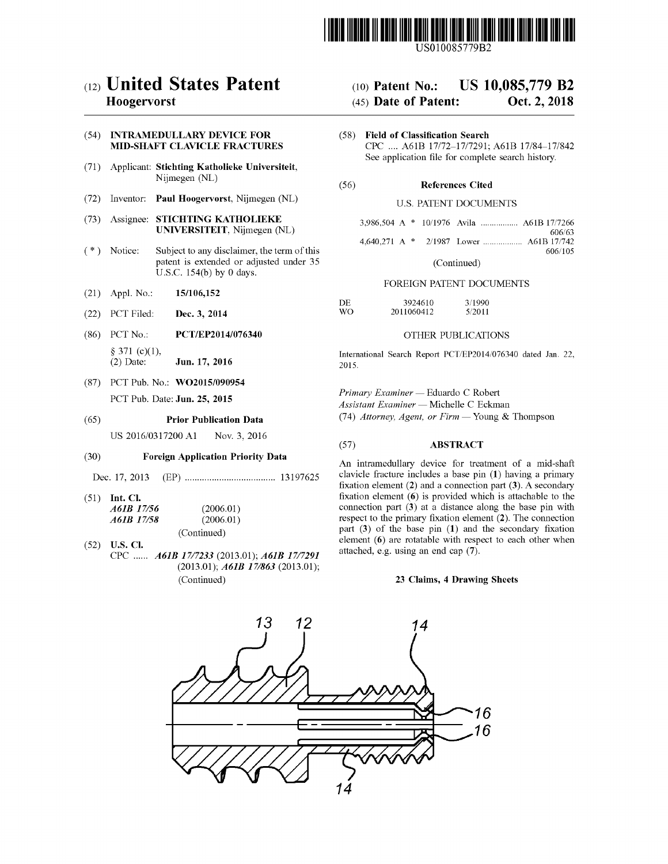

## ( 12 ) United States Patent

## Hoogervorst

# (54) INTRAMEDULLARY DEVICE FOR

- (71) Applicant: Stichting Katholieke Universiteit,<br>Nijmegen (NL) (56) References Cited
- (72) Inventor: Paul Hoogervorst, Nijmegen (NL) U.S. PATENT DOCUMENTS
- (73) Assignee: STICHTING KATHOLIEKE UNIVERSITEIT, Nijmegen (NL)
- $(*)$  Notice: Subject to any disclaimer, the term of this patent is extended or adjusted under 35 U.S.C. 154(b) by 0 days.
- 
- (22) PCT Filed: Dec. 3, 2014
- (86) PCT No.:  $§ 371 (c)(1),$ <br>(2) Date:
- (87) PCT Pub. No.: WO2015/090954

## (65) **Prior Publication Data** (74) *Attorney, Agent, or Firm* — Young & Thompson

## ( 30 ) Foreign Application Priority Data

Dec . 17 , 2013 ( EP ) . . . . . . . . . . . . 13197625

(51) **Int. Cl.**<br>  $A6IB \t17/56$  (2006.01)<br>  $A6IB \t17/58$  (2006.01) A61B 17/58

(Continued)<br>
(52) U.S. Cl.<br>
CPC ...... *A61B* 17/7233 (2013.01); *A61B* 17/7291  $(2013.01)$ ;  $A61B17/863$   $(2013.01)$ ; (Continued)

# (10) Patent No.: US  $10,085,779$  B2<br>(45) Date of Patent: Oct. 2, 2018

- $(45)$  Date of Patent:
- INTRAMEDULLARY DEVICE FOR (58) Field of Classification Search<br>MID-SHAFT CLAVICLE FRACTURES (2008) CPC .... A61B 17/72-17/7291; A61B 17/84-17.<br>See application file for complete search history. CPC .... A61B 17/72-17/7291; A61B 17/84-17/842

|  | 3,986,504 A * 10/1976 Avila  A61B 17/7266 |         |
|--|-------------------------------------------|---------|
|  |                                           | 606/63  |
|  | 4.640.271 A $*$ 2/1987 Lower  A61B 17/742 |         |
|  |                                           | 606/105 |
|  |                                           |         |

(Continued)

# (21) Appl. No.: 15/106,152 FOREIGN PATENT DOCUMENTS

| DE. | 3924610    | 3/1990 |
|-----|------------|--------|
| WO. | 2011060412 | 5/2011 |

## PCT/EP2014/076340 OTHER PUBLICATIONS

Jun. 17, 2016 International Search Report PCT/EP2014/076340 dated Jan. 22,<br>2015.

PCT Pub. Date: **Jun. 25, 2015**<br>Assistant Examiner — Michelle C Eckman

# US 2016/0317200 A1 Nov. 3, 2016 (57) ABSTRACT

An intramedullary device for treatment of a mid-shaft clavicle fracture includes a base pin (1) having a primary fixation element ( $2$ ) and a connection part ( $3$ ). A secondary fixation element ( $6$ ) is provided which is attachable to the connection part  $(3)$  at a distance along the base pin with respect to the primary fixation element  $(2)$ . The connection part  $(3)$  of the base pin  $(1)$  and the secondary fixation element  $(6)$  are rotatable with respect to each other when attached, e.g. using an end cap (7).

### 23 Claims, 4 Drawing Sheets

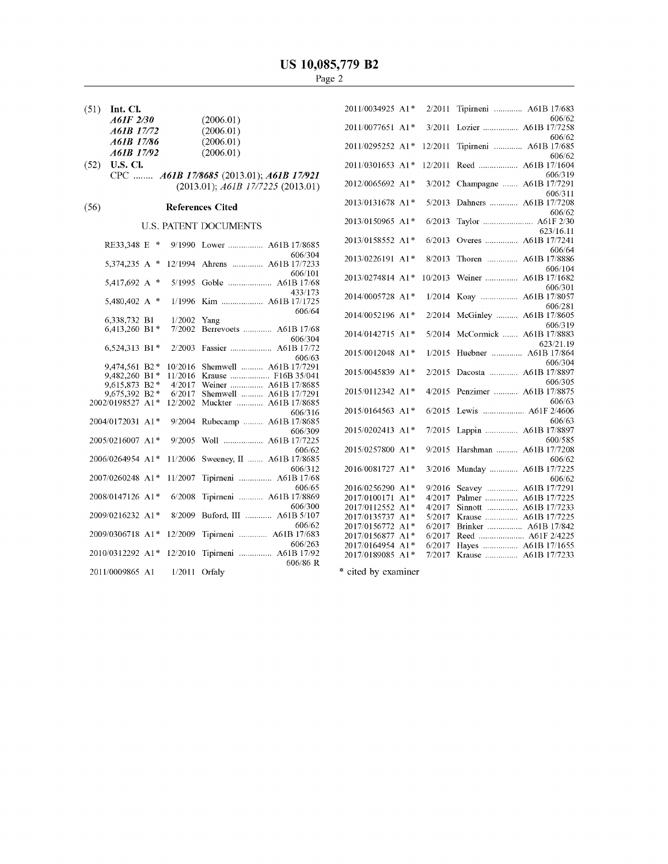$(51)$  Int. Cl.

| . | -----      |           |
|---|------------|-----------|
|   | A61F 2/30  | (2006.01) |
|   | A61B 17/72 | (2006.01) |
|   | A61B 17/86 | (2006.01) |
|   | A61B 17/92 | (2006.01) |
|   |            |           |

U.S. CI.<br>CPC ........ *A61B 17/8685* (2013.01); *A61B 17/921*  $(2013.01)$ ; A61B  $1777225$   $(2013.01)$ ( 52 )

## (56) References Cited

## U.S. PATENT DOCUMENTS

| RE33,348 E       | 咔     | 9/1990  | Lower  A61B 17/8685       |
|------------------|-------|---------|---------------------------|
|                  |       |         | 606/304                   |
| 5,374,235 A      | 净     | 12/1994 | Ahrens  A61B 17/7233      |
|                  |       |         | 606/101                   |
| 5,417,692 A      | *     | 5/1995  | Goble<br>A61B 17/68       |
|                  |       |         | 433/173                   |
| 5,480,402 A      | ∗     | 1/1996  | Kim  A61B 17/1725         |
|                  |       |         | 606/64                    |
| 6,338,732 B1     |       | 1/2002  | Yang                      |
| 6,413,260        | $B1*$ | 7/2002  | Berrevoets<br>A61B 17/68  |
|                  |       |         | 606/304                   |
| 6,524,313 B1*    |       | 2/2003  | A61B 17/72<br>Fassier     |
|                  |       |         | 606/63                    |
| 9,474,561        | $B2*$ | 10/2016 | A61B 17/7291<br>Shemwell  |
| 9,482,260        | $B1*$ | 11/2016 | Krause  F16B 35/041       |
| 9,615,873        | $B2*$ | 4/2017  | Weiner  A61B 17/8685      |
| 9,675,392        | $B2*$ | 6/2017  | Shemwell  A61B 17/7291    |
| 2002/0198527     | $A1*$ | 12/2002 | Muckter<br>A61B 17/8685   |
|                  |       |         |                           |
| 2004/0172031     | $A1*$ | 9/2004  | 606/316<br>A61B 17/8685   |
|                  |       |         | Rubecamp                  |
|                  |       |         | 606/309                   |
| 2005/0216007 A1* |       | 9/2005  | Woll<br>A61B 17/7225      |
|                  |       |         | 606/62                    |
| 2006/0264954 A1* |       | 11/2006 | Sweeney, II  A61B 17/8685 |
|                  |       |         | 606/312                   |
| 2007/0260248 A1* |       | 11/2007 | Tipirneni  A61B 17/68     |
|                  |       |         | 606/65                    |
| 2008/0147126 A1* |       | 6/2008  | Tipirneni  A61B 17/8869   |
|                  |       |         | 606/300                   |
| 2009/0216232 A1* |       | 8/2009  | Buford, III  A61B 5/107   |
|                  |       |         | 606/62                    |
| 2009/0306718 A1* |       | 12/2009 | Tipirneni  A61B 17/683    |
|                  |       |         | 606/263                   |
| 2010/0312292 A1* |       | 12/2010 | Tipirneni  A61B 17/92     |
|                  |       |         | 606/86 R                  |
| 2011/0009865 A1  |       | 1/2011  | Orfaly                    |
|                  |       |         |                           |

| 2011/0034925 A1* |       | 2/2011  | Tipirneni  A61B 17/683                       |
|------------------|-------|---------|----------------------------------------------|
|                  |       |         | 606/62                                       |
| 2011/0077651 A1* |       | 3/2011  | Lozier  A61B 17/7258                         |
|                  |       |         | 606/62                                       |
| 2011/0295252 A1* |       | 12/2011 | Tipirneni  A61B 17/685                       |
|                  |       |         | 606/62                                       |
| 2011/0301653 A1* |       | 12/2011 | Reed  A61B 17/1604                           |
|                  |       |         | 606/319                                      |
| 2012/0065692 A1* |       | 3/2012  | Champagne  A61B 17/7291                      |
|                  |       |         | 606/311                                      |
| 2013/0131678 A1* |       | 5/2013  | Dahners  A61B 17/7208                        |
|                  |       |         | 606/62                                       |
| 2013/0150965 A1* |       | 6/2013  | Taylor  A61F 2/30                            |
|                  |       |         | 623/16.11                                    |
| 2013/0158552 A1* |       | 6/2013  | Overes  A61B 17/7241                         |
|                  |       |         | 606/64                                       |
| 2013/0226191 A1* |       | 8/2013  | Thoren  A61B 17/8886                         |
|                  |       |         | 606/104                                      |
| 2013/0274814 A1* |       | 10/2013 | Weiner<br>A61B 17/1682                       |
|                  |       |         | 606/301                                      |
| 2014/0005728 A1* |       | 1/2014  | Koay  A61B 17/8057                           |
|                  |       |         | 606/281                                      |
| 2014/0052196 A1* |       | 2/2014  | A61B 17/8605<br>McGinley                     |
|                  |       |         | 606/319                                      |
| 2014/0142715 A1* |       | 5/2014  | A61B 17/8883<br>McCormick                    |
|                  |       |         | 623/21.19                                    |
| 2015/0012048 A1* |       | 1/2015  | Huebner  A61B 17/864                         |
|                  |       |         | 606/304                                      |
| 2015/0045839 A1* |       | 2/2015  | Dacosta  A61B 17/8897                        |
|                  |       |         |                                              |
|                  |       |         | 606/305                                      |
| 2015/0112342 A1* |       | 4/2015  | Penzimer<br>A61B 17/8875                     |
|                  |       |         | 606/63                                       |
| 2015/0164563 A1* |       | 6/2015  | Lewis  A61F 2/4606                           |
|                  |       |         | 606/63                                       |
| 2015/0202413 A1* |       | 7/2015  | Lappin  A61B 17/8897                         |
|                  |       |         | 600/585                                      |
| 2015/0257800 A1* |       | 9/2015  | Harshman  A61B 17/7208                       |
|                  |       |         | 606/62                                       |
| 2016/0081727 A1* |       | 3/2016  | Munday<br>A61B 17/7225                       |
|                  |       |         | 606/62                                       |
| 2016/0256290     | $A1*$ | 9/2016  | A61B 17/7291<br>Seavey                       |
| 2017/0100171     | $A1*$ | 4/2017  | A61B 17/7225<br>Palmer                       |
| 2017/0112552     | $A1*$ | 4/2017  | A61B 17/7233<br>Sinnott                      |
| 2017/0135737     | $A1*$ | 5/2017  | A61B 17/7225                                 |
| 2017/0156772     | A1*   | 6/2017  | Brinker<br>A61B 17/842                       |
| 2017/0156877     | A1*   | 6/2017  | Reed  A61F 2/4225                            |
| 2017/0164954     | $A1*$ | 6/2017  | A61B 17/1655<br>Hayes $\dots\dots\dots\dots$ |
| 2017/0189085     | A1*   | 7/2017  | A61B 17/7233<br>Krause                       |
|                  |       |         |                                              |

\* cited by examiner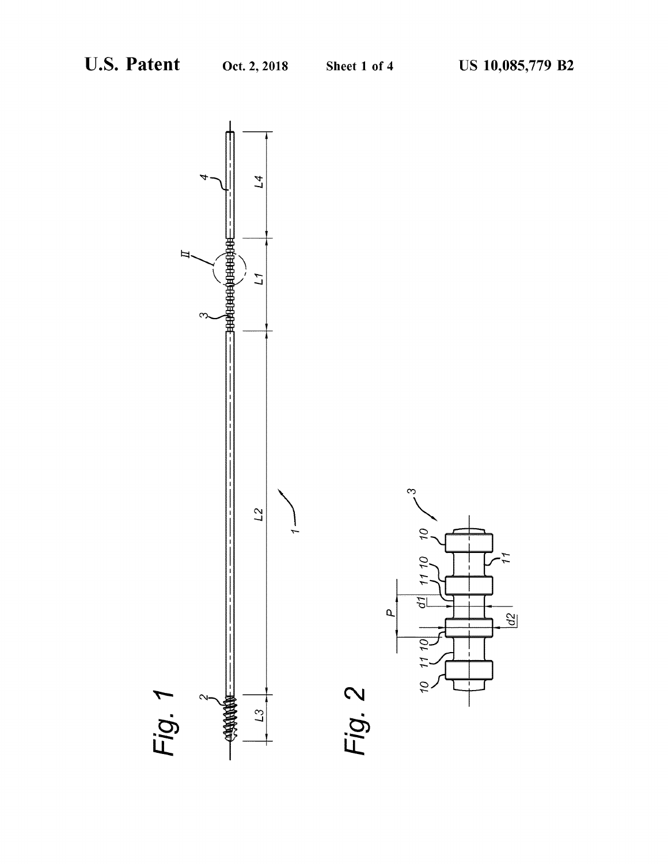$\frac{1}{2}$ 

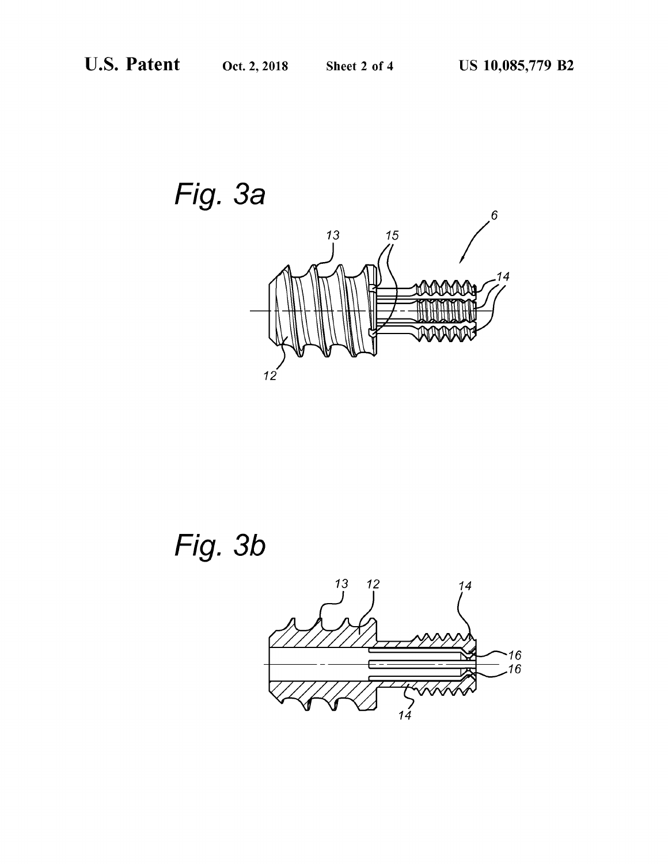Fig. 3a  $6 \overline{6}$  $\frac{15}{10}$ 13 .14 MMM -<sup>1111</sup>8 | 1111 <del>1111 | 1111</del> | 1111 **CONTRACTORS** 

Fig. 3b

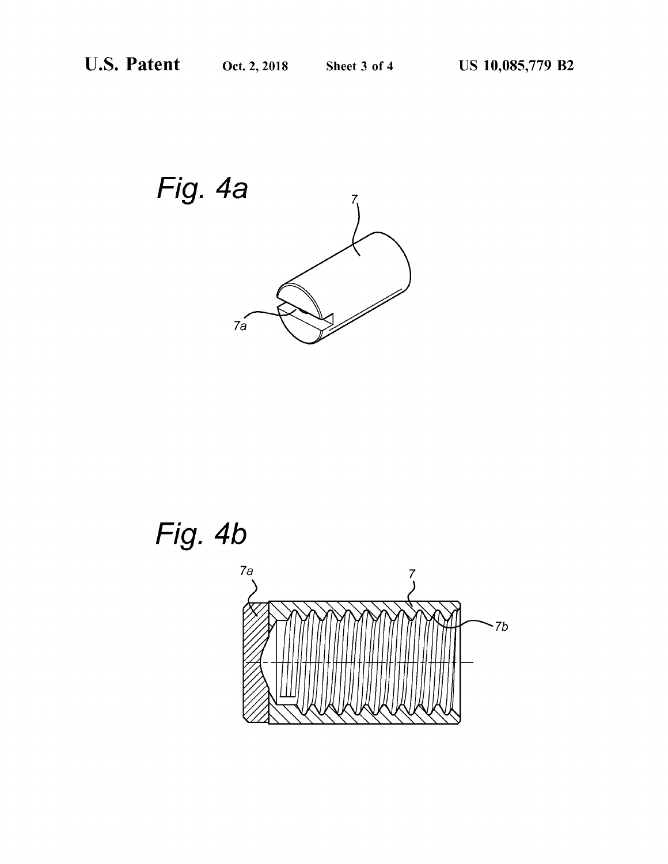

# Fig. 4b

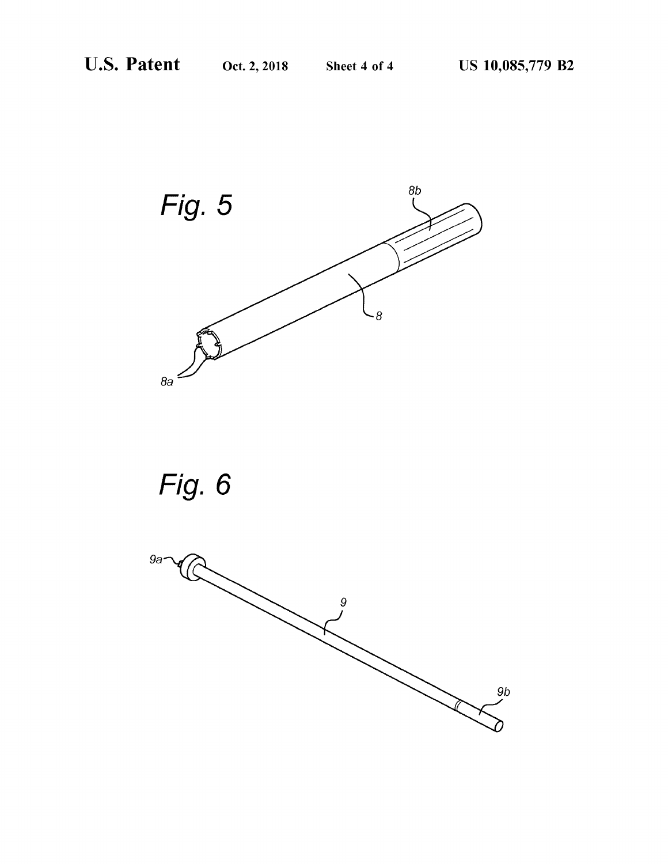



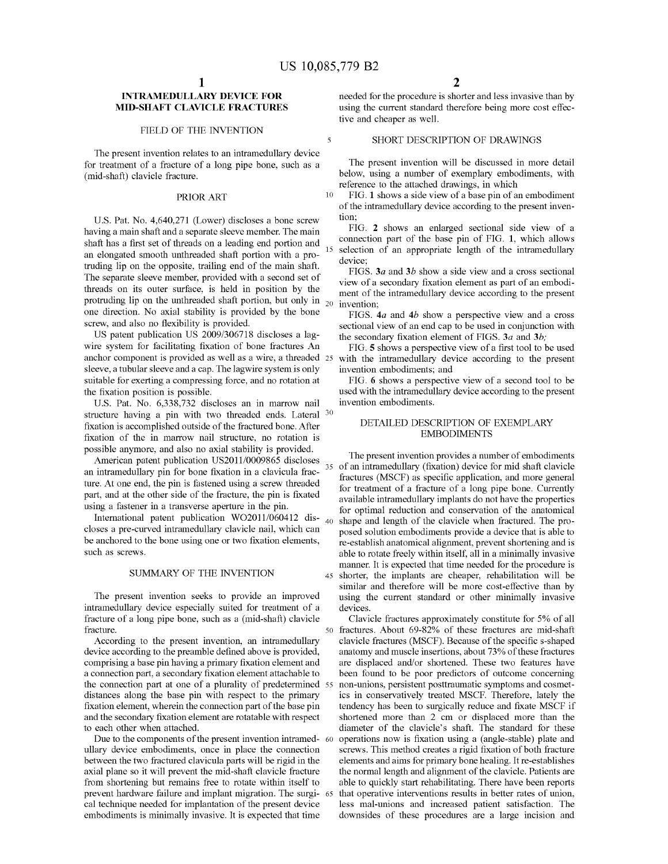The present invention relates to an intramedullary device for treatment of a fracture of a long pipe bone, such as a The present invention will be discussed in more detail<br>(mid-shaft) clavicle fracture.<br>
We see the present invention will be discussed in more detail<br>
below, using

U.S. Pat. No. 4,640,271 (Lower) discloses a bone screw tion;<br>wing a main shaft and a senarate sleave member. The main FIG. 2 shows an enlarged sectional side view of a having a main shaft and a separate sleeve member. The main FIG. 2 shows an enlarged sectional side view of a<br>chaft has a first set of threads on a leading and portion and connection part of the base pin of FIG. 1, which al shaft has a first set of threads on a leading end portion and connection part of the base pin of FIG. 1, which allows an elongated smooth unthreaded shaft portion with a pro-<br>selection of an appropriate length of the intr truding lip on the opposite, trailing end of the main shaft.<br>
The separate sleeve member, provided with a second set of<br>
threads on its outer surface, is held in position by the<br>
protruding lip on the unthreaded shaft por one direction. No axial stability is provided by the bone  $\frac{FIGS}{GSE}$ . 4a and 4b show a perspective view and a cross screw, and also no flexibility is provided.

US patent publication US 2009/306718 discloses a lag-<br>wire system for facilitating fixation of bone fractures An FIG: 5 shows a perspective view of a first tool to b wire system for facilitating fixation of bone fractures An FIG. 5 shows a perspective view of a first tool to be used anchor component is provided as well as a wire, a threaded 25 with the intramedullary device according t sleeve, a tubular sleeve and a cap. The lagwire system is only invention embodiments; and<br>suitable for exerting a compressing force, and no rotation at FIG. 6 shows a perspective view of a second tool to be suitable for exerting a compressing force, and no rotation at the fixation position is possible.

U.S. Pat. No. 6,338,732 discloses an in marrow nail invention embodiments.<br>structure having a pin with two threaded ends. Lateral <sup>30</sup> DETAILED DESCRIPTION OF EXEMPLARY fixation is accomplished outside of the fractured bone. After DETAILED DESCRIPTION OF the in marrow nail structure no rotation is fixation of the in marrow nail structure, no rotation is possible anymore, and also no axial stability is provided.

fracture of a long pipe bone, such as a (mid-shaft) clavicle<br>
so fractures . About 69-82% of these fractures are mid-shaft<br>
fracture.

Due to the components of the present invention intramed- 60 ullary device embodiments, once in place the connection ullary device embodiments, once in place the connection screws. This method creates a rigid fixation of both fracture between the two fractured clavicula parts will be rigid in the elements and aims for primary bone healin between the two fractured clavicula parts will be rigid in the elements and aims for primary bone healing. It re-establishes axial plane so it will prevent the mid-shaft clavicle fracture the normal length and alignment of axial plane so it will prevent the mid-shaft clavicle fracture the normal length and alignment of the clavicle. Patients are from shortening but remains free to rotate within itself to able to quickly start rehabilitating. from shortening but remains free to rotate within itself to able to quickly start rehabilitating. There have been reports prevent hardware failure and implant migration. The surgi-  $\epsilon$ s that operative interventions result cal technique needed for implantation of the present device less mal-unions and increased patient satisfaction. The embodiments is minimally invasive. It is expected that time downsides of these procedures are a large inci

INTRAMEDULLARY DEVICE FOR needed for the procedure is shorter and less invasive than by<br>MID-SHAFT CLAVICLE FRACTURES using the current standard therefore being more cost effecusing the current standard therefore being more cost effective and cheaper as well.

# FIELD OF THE INVENTION  $\begin{array}{ccc} 5 & \text{SHORT} \end{array}$  BESCRIPTION OF DRAWINGS

below, using a number of exemplary embodiments, with reference to the attached drawings, in which

PRIOR ART 10 FIG. 1 shows a side view of a base pin of an embodiment of the intramedullary device according to the present inven

rew, and also no flexibility is provided.<br>US patent publication US 2009/306718 discloses a lag-<br>the secondary fixation element of FIGS 3a and 3b:

used with the intramedullary device according to the present invention embodiments.

possible anymore, and also no axial stability is provided.<br>
American patent publication US2011/0009865 discloses<br>
an intramedullary (fixation) device for mid shaft clavicle<br>
an intramedullary pin for bone fixation in a cla be anchored to the bone using one or two fixation elements,<br>such as screws.<br>able to rotate freely within itself, all in a minimally invasive able to rotate freely within itself, all in a minimally invasive manner. It is expected that time needed for the procedure is SUMMARY OF THE INVENTION 45 shorter, the implants are cheaper, rehabilitation will be similar and therefore will be more cost-effective than by The present invention seeks to provide an improved using the current standard or other minimally invasive intramedullary device especially suited for treatment of a devices.

fracture . 50 fractures . About 69-82% of these fractures are mid-shaft<br>According to the present invention, an intramedullary clavicle fractures (MSCF). Because of the specific s-shaped device according to the preamble defined above is provided, anatomy and muscle insertions, about 73% of these fractures comprising a base pin having a primary fixation element and are displaced and/or shortened. These two comprising a base pin having a primary fixation element and are displaced and/or shortened. These two features have a connection part, a secondary fixation element attachable to been found to be poor predictors of outcome the connection part at one of a plurality of predetermined 55 non-unions, persistent posttraumatic symptoms and cosmet-<br>distances along the base pin with respect to the primary ics in conservatively treated MSCF. Therefore distances along the base pin with respect to the primary ics in conservatively treated MSCF. Therefore, lately the fixation element, wherein the connection part of the base pin tendency has been to surgically reduce and fi fixation element, wherein the connection part of the base pin tendency has been to surgically reduce and fixate MSCF if and the secondary fixation element are rotatable with respect shortened more than 2 cm or displaced mo and the secondary fixation element are rotatable with respect shortened more than 2 cm or displaced more than the to each other when attached.<br>
diameter of the clavicle's shaft. The standard for these diameter of the clavicle's shaft. The standard for these operations now is fixation using a (angle-stable) plate and downsides of these procedures are a large incision and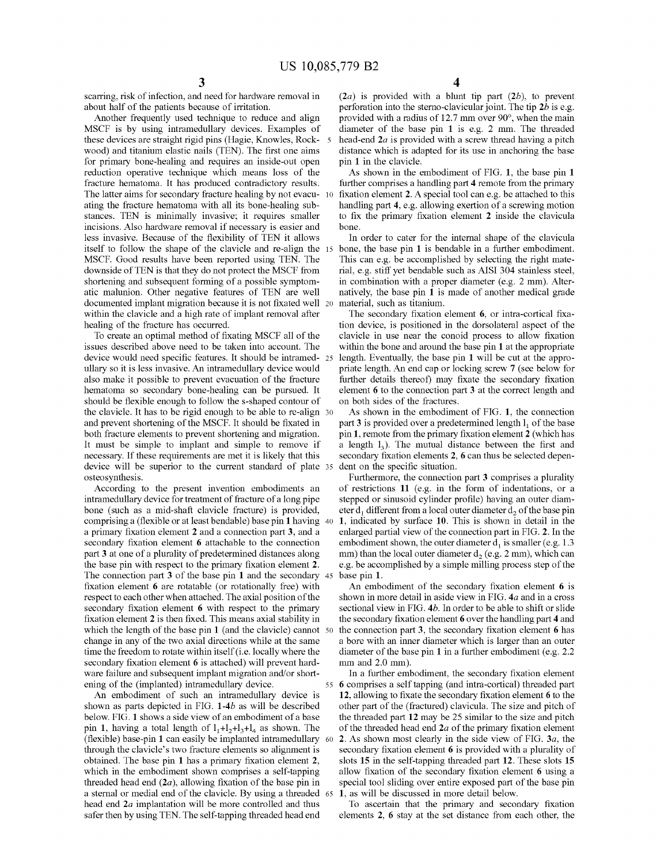these devices are straight rigid pins (Hagie, Knowles, Rock-5 wood) and titanium elastic nails (TEN). The first one aims wood) and titanium elastic nails (TEN). The first one aims distance which is adapted for its use in anchoring the base<br>for primary bone-healing and requires an inside-out open pin 1 in the clavicle. reduction operative technique which means loss of the As shown in the embodiment of FIG. 1, the base pin 1 fracture hematoma. It has produced contradictory results. further comprises a handling part 4 remote from the prima The latter aims for secondary fracture healing by not evacu- 10 fixation element 2. A special tool can e.g. be attached to this ating the fracture hematoma with all its bone-healing sub-<br>handling part 4, e.g. allowing exer ating the fracture hematoma with all its bone-healing sub-<br>stances. TEN is minimally invasive; it requires smaller to fix the primary fixation element 2 inside the clavicula stances. TEN is minimally invasive; it requires smaller to fix the primary fixation element 2 inside the clavicula incisions. Also hardware removal if necessary is easier and bone. less invasive. Because of the flexibility of TEN it allows In order to cater for the internal shape of the clavicula itself to follow the shape of the clavicule and re-align the 15 bone, the base pin 1 is bendable in a fur MSCF. Good results have been reported using TEN. The This can e.g. be accomplished by selecting the right mate-<br>downside of TEN is that they do not protect the MSCF from rial, e.g. stiff yet bendable such as AISI 304 stain shortening and subsequent forming of a possible symptom-<br>atic malunion. Other negative features of TEN are well<br>matively, the base pin 1 is made of another medical grade atic malunion. Other negative features of TEN are well natively, the base pin 1 is made of another medical grade documented implant migration because it is not fixated well 20 material, such as titanium.

device would need specific features. It should be intramed- 25 length. Eventually, the base pin 1 will be cut at the appro-<br>ullary so it is less invasive. An intramedullary device would priate length. An end cap or locking also make it possible to prevent evacuation of the fracture further details thereof) may fixate the secondary fixation hematoma so secondary bone-healing can be pursued. It element 6 to the connection part 3 at the correct hematoma so secondary bone-healing can be pursued. It element 6 to the connection part 3 at the correct length and should be flexible enough to follow the s-shaped contour of on both sides of the fractures. the clavicle. It has to be rigid enough to be able to re-align  $30$  As shown in the embodiment of FIG. 1, the connection and prevent shortening of the MSCF. It should be fixated in part 3 is provided over a predetermined length  $l_1$  of the base<br>both fracture elements to prevent shortening and migration. pin 1, remote from the primary fixat It must be simple to implant and simple to remove if a length  $1<sub>3</sub>$ ). The mutual distance between the first and necessary. If these requirements are met it is likely that this secondary fixation elements 2, 6 can thu device will be superior to the current standard of plate 35 dent on the specific situation.<br>
Surthermore, the connection part 3 comprises a plurality<br>
According to the present invention embodiments an of restrictions 11 (e

According to the present invention embodiments an intramedullary device for treatment of fracture of a long pipe intramedullary device for treatment of fracture of a long pipe stepped or sinusoid cylinder profile) having an outer diam-<br>bone (such as a mid-shaft clavicle fracture) is provided, eter  $d_1$  different from a local outer comprising a (flexible or at least bendable) base pin 1 having  $40$  a primary fixation element 2 and a connection part 3, and a a primary fixation element 2 and a connection part 3, and a enlarged partial view of the connection part in FIG. 2. In the secondary fixation element 6 attachable to the connection embodiment shown, the outer diameter  $d_$ secondary fixation element 6 attachable to the connection embodiment shown, the outer diameter  $d_1$  is smaller (e.g. 1.3 part 3 at one of a plurality of predetermined distances along mm) than the local outer diameter  $d_$ part 3 at one of a plurality of predetermined distances along mm) than the local outer diameter  $d_2$  (e.g. 2 mm), which can the base pin with respect to the primary fixation element 2. e.g. be accomplished by a simple mi the base pin with respect to the primary fixation element 2. e.g. be accomplished by a simple milling process step of the The connection part 3 of the base pin 1 and the secondary 45 base pin 1. fixation element 6 are rotatable (or rotationally free) with An embodiment of the secondary fixation element 6 is respect to each other when attached. The axial position of the shown in more detail in aside view in FIG. respect to each other when attached. The axial position of the shown in more detail in aside view in FIG. 4a and in a cross secondary fixation element 6 with respect to the primary sectional view in FIG. 4b. In order to be secondary fixation element 6 with respect to the primary sectional view in FIG. 4b. In order to be able to shift or slide fixation element 2 is then fixed. This means axial stability in the secondary fixation element 6 ove which the length of the base pin 1 (and the clavicle) cannot  $\frac{50}{2}$  change in any of the two axial directions while at the same change in any of the two axial directions while at the same a bore with an inner diameter which is larger than an outer time the freedom to rotate within itself (i.e. locally where the diameter of the base pin 1 in a furth time the freedom to rotate within itself (i.e. locally where the diameter of the base pin 1 in a further embodiment (e.g. 2.2 secondary fixation element 6 is attached) will prevent hard-<br>mm and 2.0 mm). ware failure and subsequent implant migration and/or short-<br>  $\frac{1}{10}$  in a further embodiment, the secondary fixation element<br>  $\frac{1}{10}$  intra-cortical) threaded part

(flexible) base-pin 1 can easily be implanted intramedullary  $\omega$  through the clavicle's two fracture elements so alignment is which in the embodiment shown comprises a self-tapping allow fixation of the secondary fixation element 6 using a threaded head end  $(2a)$ , allowing fixation of the base pin in special tool sliding over entire exposed par threaded head end  $(2a)$ , allowing fixation of the base pin in special tool sliding over entire exposed part of the base pin a sternal or medial end of the clavicle. By using a threaded  $\epsilon$  5 1, as will be discussed in m head end  $2a$  implantation will be more controlled and thus To ascertain that the primary and secondary fixation safer then by using TEN. The self-tapping threaded head end elements  $2$ , 6 stay at the set distance from ea

scarring, risk of infection, and need for hardware removal in (2a) is provided with a blunt tip part (2b), to prevent<br>about half of the patients because of irritation. (2a) is provided with a blunt tip part (2b), to preve diameter of the base pin 1 is e.g. 2 mm. The threaded head-end  $2a$  is provided with a screw thread having a pitch

further comprises a handling part 4 remote from the primary

within the clavicle and a high rate of implant removal after The secondary fixation element 6, or intra-cortical fixa-<br>healing of the fracture has occurred. The secondary fixation device, is positioned in the dorsolateral aling of the fracture has occurred. <br>To create an optimal method of fixating MSCF all of the clavicle in use near the conoid process to allow fixation To create an optimal method of fixating MSCF all of the clavicle in use near the conoid process to allow fixation issues described above need to be taken into account. The within the bone and around the base pin 1 at the a

pin 1, remote from the primary fixation element 2 (which has a length  $1_3$ ). The mutual distance between the first and

eter  $d_1$  different from a local outer diameter  $d_2$  of the base pin 1, indicated by surface 10. This is shown in detail in the

the secondary fixation element  $\bf{6}$  over the handling part  $\bf{4}$  and the connection part 3, the secondary fixation element  $\bf{6}$  has

ing of the (implanted) intramedullary device. 55 6 comprises a self tapping (and intra-cortical) threaded part<br>An embodiment of such an intramedullary device is 12, allowing to fixate the secondary fixation element 6 to th An embodiment of such an intramedullary device is 12, allowing to fixate the secondary fixation element 6 to the shown as parts depicted in FIG. 1-4b as will be described other part of the (fractured) clavicula. The size a other part of the (fractured) clavicula. The size and pitch of below. FIG. 1 shows a side view of an embodiment of a base the threaded part 12 may be 25 similar to the size and pitch pin 1, having a total length of  $1_1+1_2+1_3+1_4$  as shown. The of the threaded head end 2*a* of the secondary fixation element 6 is provided with a plurality of obtained. The base pin 1 has a primary fixation element 2, slots 15 in the self-tapping threaded part 12. These slots 15 which in the embodiment shown comprises a self-tapping allow fixation of the secondary fixation eleme

elements 2, 6 stay at the set distance from each other, the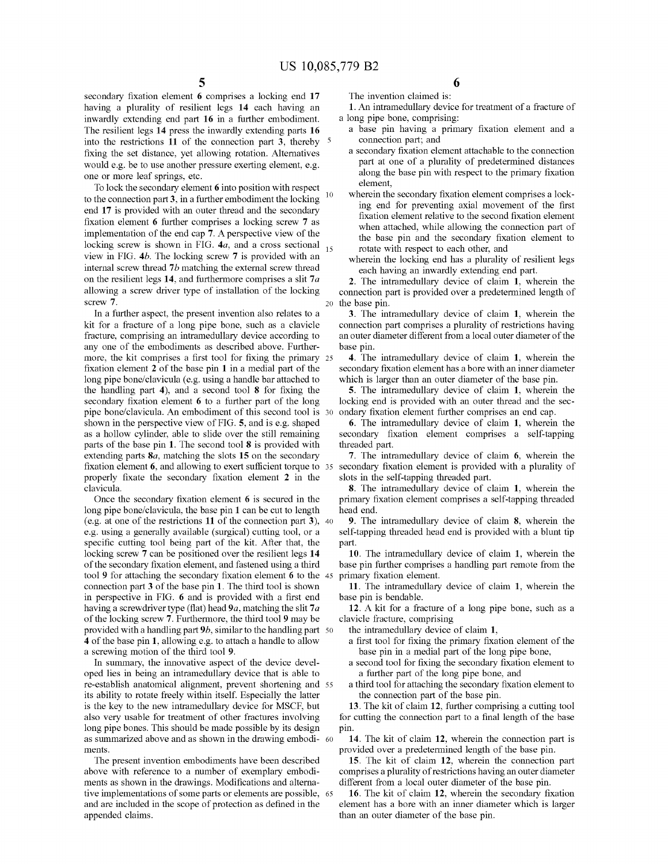secondary fixation element 6 comprises a locking end 17 The invention claimed is:<br>
having a plurality of resilient legs 14 each having an 1. An intramedullary device for treatment of a fracture of having a plurality of resilient legs  $14$  each having an  $1$ . An intramedullary device inwardly extending end part  $16$  in a further embodiment. a long pipe bone, comprising: inwardly extending end part 16 in a further embodiment. a long pipe bone, comprising:<br>The resilient legs 14 press the inwardly extending parts 16 a base pin having a primary fixation element and a The resilient legs 14 press the inwardly extending parts 16 a base pin having a primary fixed into the restrictions 11 of the connection part 3 thereby 5 connection part; and into the restrictions 11 of the connection part 3, thereby  $\frac{5}{10}$  connection part; and<br>fixing the set distance yet allowing rotation. Alternatives a secondary fixation element attachable to the connection fixing the set distance, yet allowing rotation. Alternatives a secondary fixation element attachable to the connection<br>would e.g. be to use another pressure exerting element e.g. a secondary to the of a plurality of predet would e.g. be to use another pressure exerting element, e.g. one or more leaf springs, etc.

10 To lock the secondary element 6 into position with respect<br>the secondary fixation element comprises a lockto the connection part 3, in a further embodiment the locking  $\frac{10}{\text{mg}}$  wherein the secondary fixation element comprises a lock-<br>ing end for preventing axial movement of the first end 17 is provided with an outer thread and the secondary fixation element relative to the second fixation element fixation element 6 further comprises a locking screw  $\frac{7}{8}$  as fixation element relative to the second fixation element of implementation of the end cap 7. A perspective view of the<br>locking screw is shown in FIG. 4*a*, and a cross sectional<br>locking screw is shown in FIG. 4*a*, and a cross sectional<br>internal screw thread<br>internal screw thread

screw 7. 20 the base pin.<br>
In a further aspect, the present invention also relates to a 3. The intramedullary device of claim 1, wherein the<br>
kit for a fracture of a long pipe bone, such as a clavicle connection part compr fracture, comprising an intramedullary device according to an outer diameter different from a local outer diameter of the any one of the embodiments as described above. Further-<br>base pin. more, the kit comprises a first tool for fixing the primary  $25$  4. The intramedullary device of claim 1, wherein the fixation element 2 of the base pin 1 in a medial part of the secondary fixation element has a bore with long pipe bone/clavicula (e.g. using a handle bar attached to which is larger than an outer diameter of the base pin.<br>the handling part 4), and a second tool 8 for fixing the 5. The intramedullary device of claim 1, wherei pipe bone/clavicula. An embodiment of this second tool is 30 ondary fixation element further comprises an end cap.<br>shown in the perspective view of FIG. 5, and is e.g. shaped 6. The intramedullary device of claim 1, wherei as a hollow cylinder, able to slide over the still remaining secondary fixation element comprises a self-tapping parts of the base pin 1. The second tool 8 is provided with threaded part. extending parts  $\mathbf{8}a$ , matching the slots 15 on the secondary  $\cdots$  7. The intramedullary device of claim 6, wherein the fixation element 6, and allowing to exert sufficient torque to 35 secondary fixation element is fixation element  $6$ , and allowing to exert sufficient torque to  $35$ properly fixate the secondary fixation element 2 in the slots in the self-tapping threaded part.

Once the secondary fixation element 6 is secured in the primary fixation element comprises a self-tapping threaded long pipe bone/clavicula, the base pin 1 can be cut to length head end. (e.g. at one of the restrictions 11 of the connection part 3),  $40$  9. The intramedullary device of claim 8, wherein the e.g. using a generally available (surgical) cutting tool, or a<br>self-tapping threaded head end is provided with a blunt tip<br>specific cutting tool being part of the kit. After that, the<br>locking screw 7 can be positioned over of the secondary fixation element, and fastened using a third base pin further comprises a handling part remote from the tool 9 for attaching the secondary fixation element  $\epsilon$  to the 45 primary fixation element. connection part 3 of the base pin 1. The third tool is shown 11. The intramedullary device of claim 1, wherein the in perspective in FIG. 6 and is provided with a first end base pin is bendable. having a screwdriver type (flat) head  $9a$ , matching the slit  $7a$  12. A kit for a fracture of a long pipe bone, such as a of the locking screw 7. Furthermore, the third tool 9 may be clavicle fracture, comprising provided with a handling part 9*b*, similar to the handling part 50 the intramedullary device of claim 1,<br> **4** of the base pin 1, allowing e.g. to attach a handle to allow a first tool for fixing the primary fixation eleme

oped lies in being an intramedullary device that is able to a further part of the long pipe bone, and re-establish anatomical alignment, prevent shortening and  $55$  a third tool for attaching the secondary fixation element re-establish anatomical alignment, prevent shortening and 55 a third tool for attaching the secondary its ability to rotate freely within itself. Especially the latter the connection part of the base pin. is the key to the new intramedullary device for MSCF, but 13. The kit of claim 12, further comprising a cutting tool also very usable for treatment of other fractures involving for cutting the connection part to a final le long pipe bones. This should be made possible by its design pin.<br>as summarized above and as shown in the drawing embodi- 60 14. The kit of claim 12, wherein the connection part is provided over a predetermined length of th

The present invention embodiments have been described<br>
15. The kit of claim 12, wherein the connection part<br>
above with reference to a number of exemplary embodi-<br>
15. The kit of claim 12, wherein the connection part<br>
comp ments as shown in the drawings. Modifications and alterna-<br>tive implementations of some parts or elements are possible, 65 16. The kit of claim 12, wherein the secondary fixation tive implementations of some parts or elements are possible, 65 and are included in the scope of protection as defined in the

- 
- along the base pin with respect to the primary fixation element.
- 
- 

connection part comprises a plurality of restrictions having

secondary fixation element has a bore with an inner diameter

locking end is provided with an outer thread and the sec-

clavicula.<br>
8. The intramedullary device of claim 1, wherein the<br>
Once the secondary fixation element 6 is secured in the<br>
primary fixation element comprises a self-tapping threaded

- 
- In summary, the innovative aspect of the device devel-<br>a second tool for fixing the secondary fixation element to
	-

for cutting the connection part to a final length of the base

and are included in the scope of protection as defined in the element has a bore with an inner diameter which is larger appended claims. than an outer diameter of the base pin.